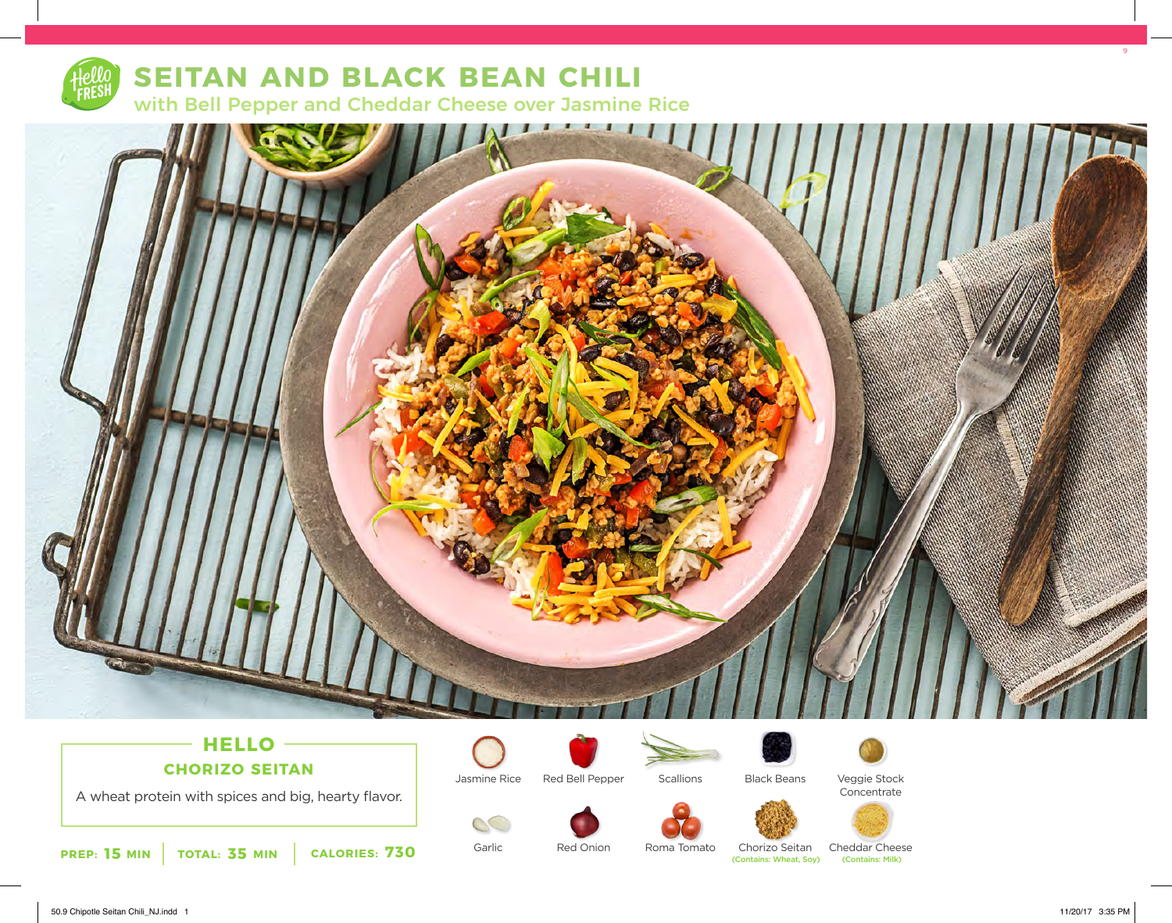

# **SEITAN AND BLACK BEAN CHILI**

with Bell Pepper and Cheddar Cheese over Jasmine Rice



# **HELLO CHORIZO SEITAN**

A wheat protein with spices and big, hearty flavor.



Garlic

OC

Jasmine Rice Red Bell Pepper



Black Beans









Red Onion

Chorizo Seitan<br>(Contains: Wheat, Soy) Roma Tomato

Cheddar Cheese<br>
Contains: Milk)



9